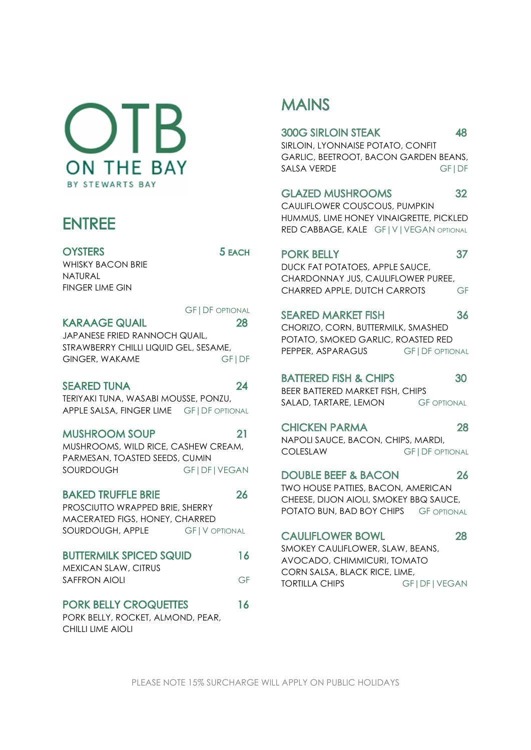$OIB$ **ON THE BAY** BY STEWARTS BAY

# **ENTREE**

**OYSTERS** WHISKY BACON BRIE NATURAL FINGER LIME GIN

**KARAAGE QUAIL** JAPANESE FRIED RANNOCH QUAIL, STRAWBERRY CHILLI LIQUID GEL, SESAME,

GINGER, WAKAME GFIDF

### **SEARED TUNA**

TERIYAKI TUNA, WASABI MOUSSE, PONZU, APPLE SALSA, FINGER LIME GF|DF OPTIONAL

### **MUSHROOM SOUP**

MUSHROOMS, WILD RICE, CASHEW CREAM, COLESLAW PARMESAN, TOASTED SEEDS, CUMIN SOURDOUGH GF|DF|VEGAN DOUBLE BEFF & BACON 26

### **BAKED TRUFFLE BRIF**

PROSCIUTTO WRAPPED BRIE, SHERRY MACERATED FIGS, HONEY, CHARRED SOURDOUGH, APPLE GF|V OPTIONAL CAULIFLOWER BOWL

### **BUTTERMILK SPICED SQUID** 16

MEXICAN SLAW, CITRUS SAFFRON AIOLI GF TORTILLA CHIPS

### **PORK BELLY CROQUETTES** 16

PORK BELLY, ROCKET, ALMOND, PEAR, CHILLI LIME AIOLI

# **MAINS**

### **300G SIRLOIN STEAK**

SIRLOIN, LYONNAISE POTATO, CONFIT GARLIC, BEETROOT, BACON GARDEN BEANS, SALSA VERDE GF|DF

### **GLAZED MUSHROOMS** 32

CAULIFLOWER COUSCOUS, PUMPKIN HUMMUS, LIME HONEY VINAIGRETTE, PICKLED RED CABBAGE, KALE GF | V | VEGAN OPTIONAL

### **PORK BELLY**

37

30

48

DUCK FAT POTATOES, APPLE SAUCE, CHARDONNAY JUS, CAULIFLOWER PUREE, CHARRED APPLE, DUTCH CARROTS GF

## GF | DF OPTIONAL SEARED MARKET FISH

 CHORIZO, CORN, BUTTERMILK, SMASHED POTATO, SMOKED GARLIC, ROASTED RED PEPPER, ASPARAGUS GF | DF OPTIONAL

## **BATTERED FISH & CHIPS**

BEER BATTERED MARKET FISH, CHIPS SALAD, TARTARE, LEMON GF OPTIONAL

CHICKEN PARMA 28<br>NAPOLI SAUCE, BACON, CHIPS, MARDI, **GF | DF OPTIONAL** 

TWO HOUSE PATTIES, BACON, AMERICAN CHEESE, DIJON AIOLI, SMOKEY BBQ SAUCE, POTATO BUN, BAD BOY CHIPS GF OPTIONAL

### 28

SMOKEY CAULIFLOWER, SLAW, BEANS, AVOCADO, CHIMMICURI, TOMATO CORN SALSA, BLACK RICE, LIME, GF|DF|VEGAN

PLEASE NOTE 15% SURCHARGE WILL APPLY ON PUBLIC HOLIDAYS

28

5 EACH

24

21

26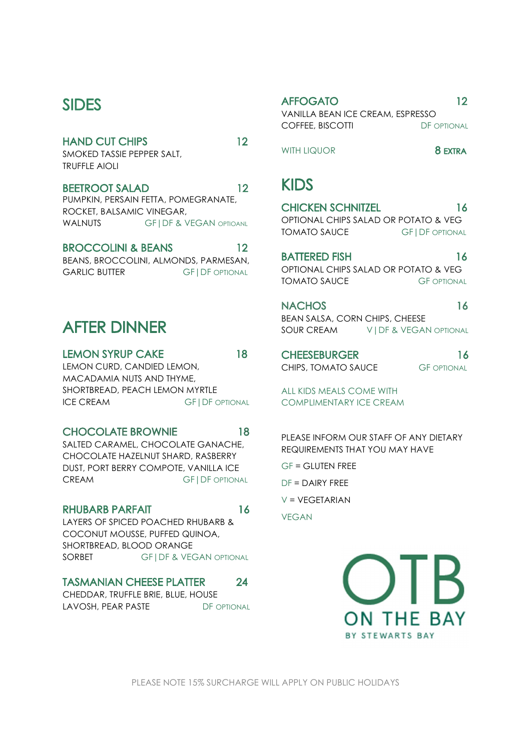## **SIDES**

### **HAND CUT CHIPS** 12

SMOKED TASSIE PEPPER SALT, TRUFFLE AIOLI

### **BEETROOT SALAD**

PUMPKIN, PERSAIN FETTA, POMEGRANATE,<br>DOCKET BALSANIC VINESAR ROCKET, BALSAMIC VINEGAR,

### **BROCCOLINI & BEANS**

|                      | BEANS, BROCCOLINI, ALMONDS, PARMESAN, | DATIERED FISH                        |  |
|----------------------|---------------------------------------|--------------------------------------|--|
| <b>GARLIC BUTTER</b> | <b>GFIDE OPTIONAL</b>                 | OPTIONAL CHIPS SALAD OR POTATO & VEG |  |
|                      |                                       | -- -- -                              |  |

# **AFTER DINNER**

**LEMON SYRUP CAKE** 18 LEMON CURD, CANDIED LEMON, MACADAMIA NUTS AND THYME, SHORTBREAD, PEACH LEMON MYRTLE ICE CREAM GFI DF OPTIONAL

### **CHOCOLATE BROWNIE**

SALTED CARAMEL, CHOCOLATE GANACHE, CHOCOLATE HAZELNUT SHARD, RASBERRY DUST, PORT BERRY COMPOTE, VANILLA ICE CREAM GF|DF OPTIONAL

### **RHUBARB PARFAIT**

LAYERS OF SPICED POACHED RHUBARB & COCONUT MOUSSE, PUFFED QUINOA, SHORTBREAD, BLOOD ORANGE SORBET **GFIDF & VEGAN OPTIONAL** 

### **TASMANIAN CHEESE PLATTER** 24

CHEDDAR, TRUFFLE BRIE, BLUE, HOUSE LAVOSH, PEAR PASTE DF OPTIONAL

### **AFFOGATO** VANILLA BEAN ICE CREAM, ESPRESSO

COFFEE, BISCOTTI DF OPTIONAL

 $12$ 

 $12$ 

12

18

16

WALNUTS GF|DF & VEGAN OPTIOANL **OPTIONAL CHIPS SALAD OR POTATO & VEG**<br>TOMATO SAUCE GFI DF OPTIONA WITH LIQUOR OPTIONAL CHIPS SALAD OR POTATO & VEG **GF | DF OPTIONAL** 

> 16 **TOMATO SAUCE GF OPTIONAL**

> **NACHOS** 16

> BEAN SALSA, CORN CHIPS, CHEESE SOUR CREAM VIDE & VEGAN OPTIONAL

> **CHEESEBURGER** CHIPS, TOMATO SAUCE GF OPTIONAL

16

ALL KIDS MEALS COME WITH COMPLIMENTARY ICE CREAM

PLEASE INFORM OUR STAFF OF ANY DIETARY REQUIREMENTS THAT YOU MAY HAVE

GF = GLUTEN FREE

 $DF = DAIRY FRFF$ 

 $V = VEGETARIAN$ 

VEGAN

ON THE BAY BY STEWARTS BAY

PLEASE NOTE 15% SURCHARGE WILL APPLY ON PUBLIC HOLIDAYS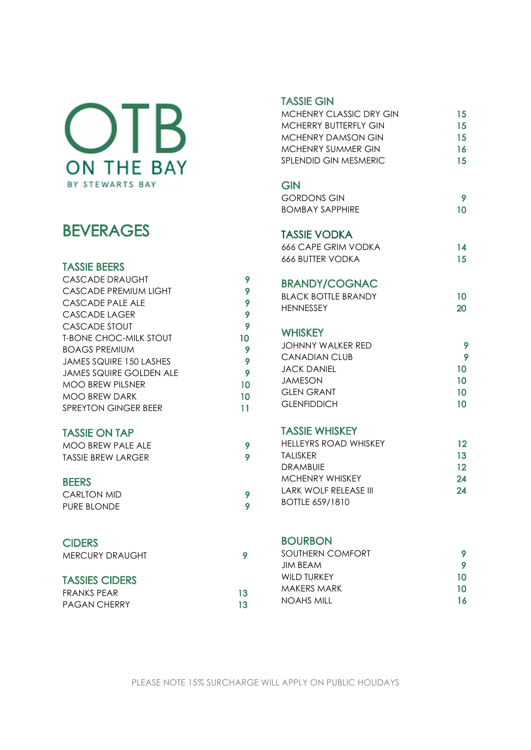# OTB ON THE BAY BY STEWARTS BAY

# **BEVERAGES**

### **TASSIE BEERS**

| CASCADE DRAUGHT               | 9  |
|-------------------------------|----|
| CASCADE PREMIUM LIGHT         | 9  |
| CASCADE PALE ALE              | 9  |
| CASCADE LAGER                 | 9  |
| CASCADE STOUT                 | 9  |
| <b>T-BONE CHOC-MILK STOUT</b> | 10 |
| <b>BOAGS PREMIUM</b>          | 9  |
| JAMES SQUIRE 150 LASHES       | 9  |
| JAMES SQUIRE GOLDEN ALE       | 9  |
| MOO BREW PILSNER              | 10 |
| MOO BREW DARK                 | 10 |
| SPREYTON GINGER BEER          | 11 |
|                               |    |

### **TASSIE ON TAP**

| MOO BREW PALE ALE  |  |
|--------------------|--|
| TASSIE BREW LARGER |  |

### **BEERS**

| CARLTON MID |  |  |
|-------------|--|--|
| PURE BLONDE |  |  |

### **CIDERS**

### **TASSIES CIDERS**

| FRANKS PEAR         |  |
|---------------------|--|
| <b>PAGAN CHERRY</b> |  |

### **TASSIE GIN**

| MCHENRY CLASSIC DRY GIN | 15 |
|-------------------------|----|
| MCHERRY BUTTERELY GIN   | 15 |
| MCHENRY DAMSON GIN      | 15 |
| MCHENRY SUMMER GIN      | 16 |
| SPI ENDID GIN MESMERIC  | 15 |
|                         |    |

### **GIN**

| GORDONS GIN     |    |
|-----------------|----|
| BOMBAY SAPPHIRE | 10 |

### **TASSIE VODKA**

| 666 CAPE GRIM VODKA     |    |
|-------------------------|----|
| <b>666 BUTTER VODKA</b> | 15 |

### **BRANDY/COGNAC**

| <b>BLACK BOTTLE BRANDY</b> |  |
|----------------------------|--|
| <b>HENNESSEY</b>           |  |

### **WHISKEY**

| JOHNNY WAI KFR RFD |    |
|--------------------|----|
| CANADIAN CLUB      |    |
| JACK DANIFI        | 10 |
| JAMESON.           | 10 |
| GI EN GRANT        | 10 |
| <b>GLENFIDDICH</b> |    |

### **TASSIE WHISKEY**

| HELLEYRS ROAD WHISKEY    | 12 |
|--------------------------|----|
| <b>TALISKER</b>          | 13 |
| DRAMBUIE                 | 12 |
| MCHENRY WHISKEY          | 24 |
| I ARK WOI F RFI FASF III | 24 |
| <b>BOTTLE 659/1810</b>   |    |

### **BOURBON**

| SOUTHERN COMFORT |    |
|------------------|----|
| <b>JIM BEAM</b>  |    |
| WII D TURKFY     | 10 |
| MAKFRS MARK      | 1Ω |
| NOAHS MILL       | 16 |
|                  |    |

 $\overline{9}$  $\overline{9}$ 

 $\overline{9}$  $\overline{9}$ 

9

13 13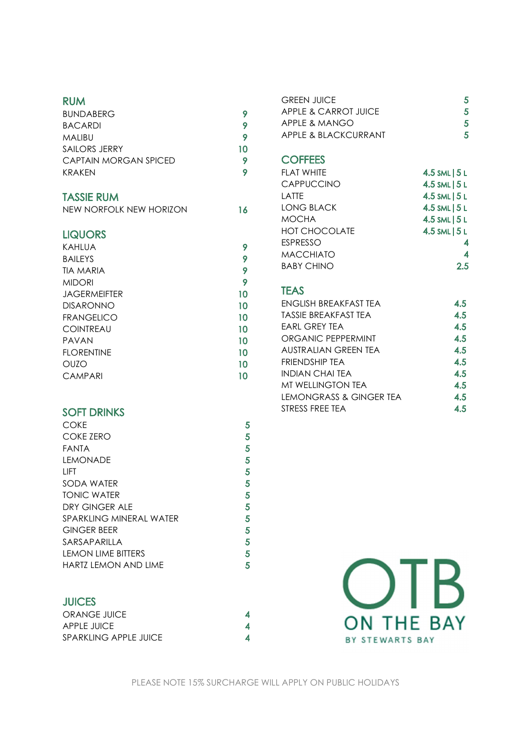### **RUM**

| <b>BUNDABERG</b>      |    |
|-----------------------|----|
| <b>BACARDI</b>        |    |
| <b>MALIBU</b>         |    |
| <b>SAILORS JERRY</b>  | 10 |
| CAPTAIN MORGAN SPICED | 9  |
| KRAKFN                |    |

### **TASSIE RUM**

| NEW NORFOLK NEW HORIZON | 16 |
|-------------------------|----|
|                         |    |

### **LIQUORS**

| KAHLUA              | 9  |
|---------------------|----|
| <b>BAILEYS</b>      | 9  |
| <b>TIA MARIA</b>    | 9  |
| <b>MIDORI</b>       | 9  |
| <b>JAGERMEIFTER</b> | 10 |
| <b>DISARONNO</b>    | 10 |
| <b>FRANGELICO</b>   | 10 |
| <b>COINTREAU</b>    | 10 |
| PAVAN               | 10 |
| <b>FLORENTINE</b>   | 10 |
| <b>OUZO</b>         | 10 |
| <b>CAMPARI</b>      | 10 |

### **SOFT DRINKS**

| COKE                        |   |
|-----------------------------|---|
| COKE ZERO                   | 5 |
| <b>FANTA</b>                | 5 |
| <b>LEMONADE</b>             | 5 |
| <b>LIFT</b>                 | 5 |
| SODA WATER                  | 5 |
| <b>TONIC WATER</b>          | 5 |
| DRY GINGER ALE              | 5 |
| SPARKLING MINFRAL WATER     | 5 |
| <b>GINGER BEER</b>          | 5 |
| SARSAPARILLA                | 5 |
| LEMON LIME BITTERS          | 5 |
| <b>HARTZ LEMON AND LIME</b> | 5 |

### **JUICES**

| ORANGE JUICE                 |  |
|------------------------------|--|
| APPLE JUICE                  |  |
| <b>SPARKLING APPLE JUICE</b> |  |

| GREEN JUICE          | 5 |
|----------------------|---|
| APPLE & CARROT JUICE | 5 |
| APPI F & MANGO       | 5 |
| APPLE & BLACKCURRANT | 5 |

### **COFFEES**

| FI AT WHITE          | 4.5 SML   5L  |
|----------------------|---------------|
| <b>CAPPUCCINO</b>    | 4.5 SML   5L  |
| LATTE                | 4.5 SML   5L  |
| <b>LONG BLACK</b>    | 4.5 SML   5 L |
| <b>MOCHA</b>         | 4.5 SML   5L  |
| <b>HOT CHOCOLATE</b> | 4.5 SML   5L  |
| <b>ESPRESSO</b>      |               |
| <b>MACCHIATO</b>     | 4             |
| <b>BABY CHINO</b>    | 2.5           |

### **TEAS**



 $\overline{\mathbf{4}}$ 

 $\overline{\mathbf{4}}$  $\overline{\mathbf{4}}$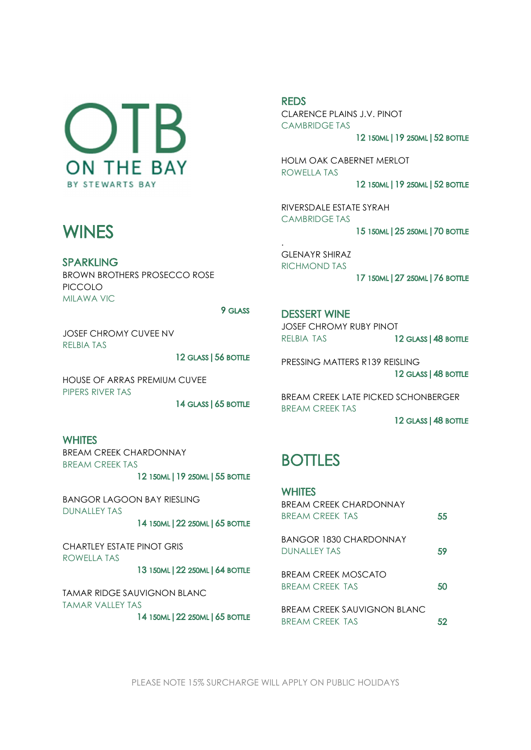$O$  |  $B$ **ON THE BAY** BY STEWARTS BAY

# **WINES**

**SPARKLING** BROWN BROTHERS PROSECCO ROSE PICCOLO MILAWA VIC

 JOSEF CHROMY CUVEE NV RELBIA TAS

12 GLASS | 56 BOTTLE<br>HOUSE OF ARRAS PREMIUM CUVEE PIPERS RIVER TAS ${\sf 14}$  glass | 65 bottle ${\sf WHITES}$ Bream creek chardonnay

BREAM CREEK TAS

12 150ML | 19 250ML | 55 BOTTLE<br>BANGOR LAGOON BAY RIESLING DUNALLEY TAS

14 150ML | 22 250ML | 65 BOTTLE

CHARTLEY ESTATE PINOT GRIS ROWELLA TAS

13 150ML | 22 250ML | 64 BOTTLE

TAMAR RIDGE SAUVIGNON BLANC TAMAR VALLEY TAS

14 150ML | 22 250ML | 65 BOTTLE

REDS<br>CLARENCE PLAINS J.V. PINOT CAMBRIDGE TAS<br>12 150ml | 19 250ml | 52 bottle<br>HOLM OAK CABERNET MERLOT

ROWELLA TAS<br>**12 i50ml | 19 250ml | 52 bottle**<br>RIVERSDALE ESTATE SYRAH

CAMBRIDGE TAS 15 150ML | 25 250ML | 70 BOTTLE

. GLENAYR SHIRAZ RICHMOND TAS 17 150ML | 27 250ML | 76 BOTTLE

DESSERT WINE<br>JOSEF CHROMY RUBY PINOT

RELBIA TAS **12 GLASS | 48 BOTTLE**<br>PRESSING MATTERS R139 REISLING 12 GLASS | 48 BOTTLE

BREAM CREEK LATE PICKED SCHONBERGER BREAM CREEK TAS

12 GLASS | 48 BOTTLE

# **BOTTLES**

| <b>WHITES</b><br>BREAM CREEK CHARDONNAY        |    |
|------------------------------------------------|----|
| BREAM CREEK TAS                                | 55 |
| BANGOR 1830 CHARDONNAY<br>DUNALLEY TAS         | 59 |
| BREAM CREEK MOSCATO<br>BREAM CREEK TAS         | 50 |
| BREAM CREEK SAUVIGNON BLANC<br>BRFAM CRFFK TAS | 52 |

PLEASE NOTE 15% SURCHARGE WILL APPLY ON PUBLIC HOLIDAYS